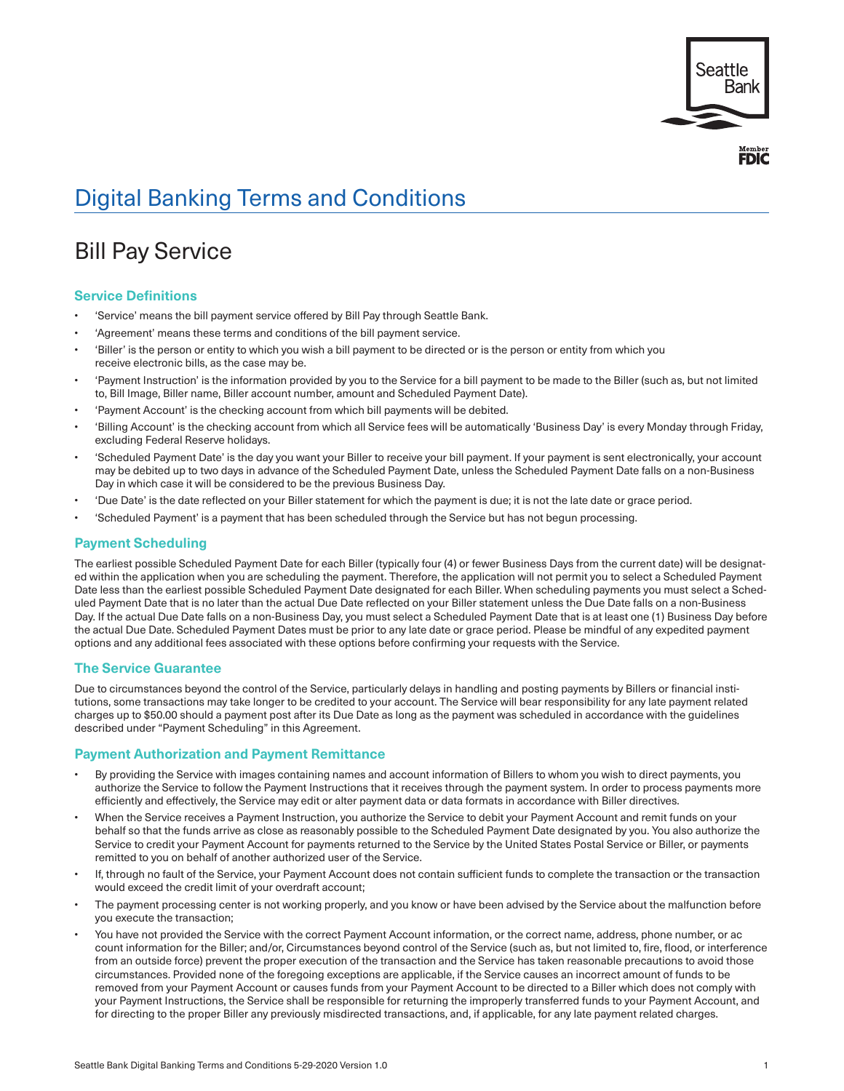

# Digital Banking Terms and Conditions

# Bill Pay Service

# **Service Definitions**

- 'Service' means the bill payment service offered by Bill Pay through Seattle Bank.
- 'Agreement' means these terms and conditions of the bill payment service.
- 'Biller' is the person or entity to which you wish a bill payment to be directed or is the person or entity from which you receive electronic bills, as the case may be.
- 'Payment Instruction' is the information provided by you to the Service for a bill payment to be made to the Biller (such as, but not limited to, Bill Image, Biller name, Biller account number, amount and Scheduled Payment Date).
- 'Payment Account' is the checking account from which bill payments will be debited.
- • 'Billing Account' is the checking account from which all Service fees will be automatically 'Business Day' is every Monday through Friday, excluding Federal Reserve holidays.
- • 'Scheduled Payment Date' is the day you want your Biller to receive your bill payment. If your payment is sent electronically, your account may be debited up to two days in advance of the Scheduled Payment Date, unless the Scheduled Payment Date falls on a non-Business Day in which case it will be considered to be the previous Business Day.
- 'Due Date' is the date reflected on your Biller statement for which the payment is due; it is not the late date or grace period.
- • 'Scheduled Payment' is a payment that has been scheduled through the Service but has not begun processing.

# **Payment Scheduling**

The earliest possible Scheduled Payment Date for each Biller (typically four (4) or fewer Business Days from the current date) will be designated within the application when you are scheduling the payment. Therefore, the application will not permit you to select a Scheduled Payment Date less than the earliest possible Scheduled Payment Date designated for each Biller. When scheduling payments you must select a Scheduled Payment Date that is no later than the actual Due Date reflected on your Biller statement unless the Due Date falls on a non-Business Day. If the actual Due Date falls on a non-Business Day, you must select a Scheduled Payment Date that is at least one (1) Business Day before the actual Due Date. Scheduled Payment Dates must be prior to any late date or grace period. Please be mindful of any expedited payment options and any additional fees associated with these options before confirming your requests with the Service.

# **The Service Guarantee**

Due to circumstances beyond the control of the Service, particularly delays in handling and posting payments by Billers or financial institutions, some transactions may take longer to be credited to your account. The Service will bear responsibility for any late payment related charges up to \$50.00 should a payment post after its Due Date as long as the payment was scheduled in accordance with the guidelines described under "Payment Scheduling" in this Agreement.

# **Payment Authorization and Payment Remittance**

- By providing the Service with images containing names and account information of Billers to whom you wish to direct payments, you authorize the Service to follow the Payment Instructions that it receives through the payment system. In order to process payments more efficiently and effectively, the Service may edit or alter payment data or data formats in accordance with Biller directives.
- When the Service receives a Payment Instruction, you authorize the Service to debit your Payment Account and remit funds on your behalf so that the funds arrive as close as reasonably possible to the Scheduled Payment Date designated by you. You also authorize the Service to credit your Payment Account for payments returned to the Service by the United States Postal Service or Biller, or payments remitted to you on behalf of another authorized user of the Service.
- If, through no fault of the Service, your Payment Account does not contain sufficient funds to complete the transaction or the transaction would exceed the credit limit of your overdraft account;
- The payment processing center is not working properly, and you know or have been advised by the Service about the malfunction before you execute the transaction;
- You have not provided the Service with the correct Payment Account information, or the correct name, address, phone number, or ac count information for the Biller; and/or, Circumstances beyond control of the Service (such as, but not limited to, fire, flood, or interference from an outside force) prevent the proper execution of the transaction and the Service has taken reasonable precautions to avoid those circumstances. Provided none of the foregoing exceptions are applicable, if the Service causes an incorrect amount of funds to be removed from your Payment Account or causes funds from your Payment Account to be directed to a Biller which does not comply with your Payment Instructions, the Service shall be responsible for returning the improperly transferred funds to your Payment Account, and for directing to the proper Biller any previously misdirected transactions, and, if applicable, for any late payment related charges.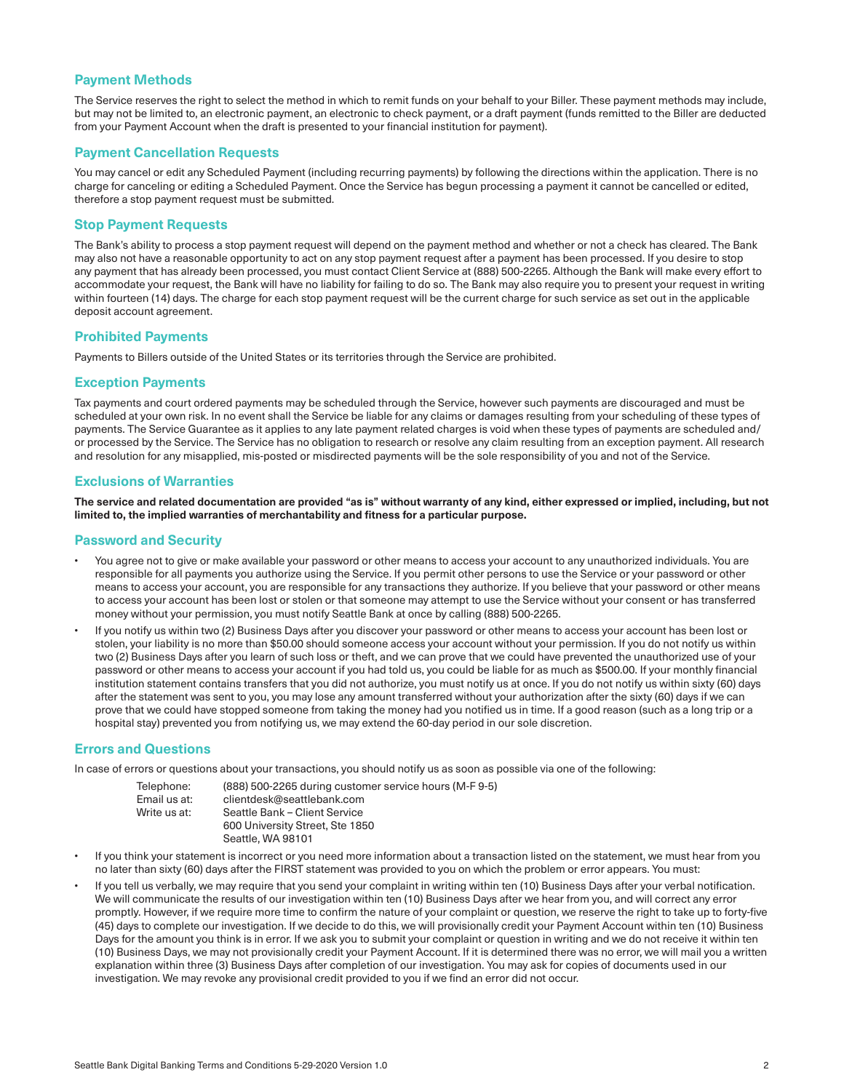# **Payment Methods**

The Service reserves the right to select the method in which to remit funds on your behalf to your Biller. These payment methods may include, but may not be limited to, an electronic payment, an electronic to check payment, or a draft payment (funds remitted to the Biller are deducted from your Payment Account when the draft is presented to your financial institution for payment).

#### **Payment Cancellation Requests**

You may cancel or edit any Scheduled Payment (including recurring payments) by following the directions within the application. There is no charge for canceling or editing a Scheduled Payment. Once the Service has begun processing a payment it cannot be cancelled or edited, therefore a stop payment request must be submitted.

#### **Stop Payment Requests**

The Bank's ability to process a stop payment request will depend on the payment method and whether or not a check has cleared. The Bank may also not have a reasonable opportunity to act on any stop payment request after a payment has been processed. If you desire to stop any payment that has already been processed, you must contact Client Service at (888) 500-2265. Although the Bank will make every effort to accommodate your request, the Bank will have no liability for failing to do so. The Bank may also require you to present your request in writing within fourteen (14) days. The charge for each stop payment request will be the current charge for such service as set out in the applicable deposit account agreement.

#### **Prohibited Payments**

Payments to Billers outside of the United States or its territories through the Service are prohibited.

#### **Exception Payments**

Tax payments and court ordered payments may be scheduled through the Service, however such payments are discouraged and must be scheduled at your own risk. In no event shall the Service be liable for any claims or damages resulting from your scheduling of these types of payments. The Service Guarantee as it applies to any late payment related charges is void when these types of payments are scheduled and/ or processed by the Service. The Service has no obligation to research or resolve any claim resulting from an exception payment. All research and resolution for any misapplied, mis-posted or misdirected payments will be the sole responsibility of you and not of the Service.

#### **Exclusions of Warranties**

**The service and related documentation are provided "as is" without warranty of any kind, either expressed or implied, including, but not limited to, the implied warranties of merchantability and fitness for a particular purpose.**

#### **Password and Security**

- You agree not to give or make available your password or other means to access your account to any unauthorized individuals. You are responsible for all payments you authorize using the Service. If you permit other persons to use the Service or your password or other means to access your account, you are responsible for any transactions they authorize. If you believe that your password or other means to access your account has been lost or stolen or that someone may attempt to use the Service without your consent or has transferred money without your permission, you must notify Seattle Bank at once by calling (888) 500-2265.
- If you notify us within two (2) Business Days after you discover your password or other means to access your account has been lost or stolen, your liability is no more than \$50.00 should someone access your account without your permission. If you do not notify us within two (2) Business Days after you learn of such loss or theft, and we can prove that we could have prevented the unauthorized use of your password or other means to access your account if you had told us, you could be liable for as much as \$500.00. If your monthly financial institution statement contains transfers that you did not authorize, you must notify us at once. If you do not notify us within sixty (60) days after the statement was sent to you, you may lose any amount transferred without your authorization after the sixty (60) days if we can prove that we could have stopped someone from taking the money had you notified us in time. If a good reason (such as a long trip or a hospital stay) prevented you from notifying us, we may extend the 60-day period in our sole discretion.

#### **Errors and Questions**

In case of errors or questions about your transactions, you should notify us as soon as possible via one of the following:

- Telephone: (888) 500-2265 during customer service hours (M-F 9-5) Email us at: clientdesk@seattlebank.com<br>Write us at: Seattle Bank – Client Service Seattle Bank – Client Service 600 University Street, Ste 1850 Seattle, WA 98101
- If you think your statement is incorrect or you need more information about a transaction listed on the statement, we must hear from you no later than sixty (60) days after the FIRST statement was provided to you on which the problem or error appears. You must:
- If you tell us verbally, we may require that you send your complaint in writing within ten (10) Business Days after your verbal notification. We will communicate the results of our investigation within ten (10) Business Days after we hear from you, and will correct any error promptly. However, if we require more time to confirm the nature of your complaint or question, we reserve the right to take up to forty-five (45) days to complete our investigation. If we decide to do this, we will provisionally credit your Payment Account within ten (10) Business Days for the amount you think is in error. If we ask you to submit your complaint or question in writing and we do not receive it within ten (10) Business Days, we may not provisionally credit your Payment Account. If it is determined there was no error, we will mail you a written explanation within three (3) Business Days after completion of our investigation. You may ask for copies of documents used in our investigation. We may revoke any provisional credit provided to you if we find an error did not occur.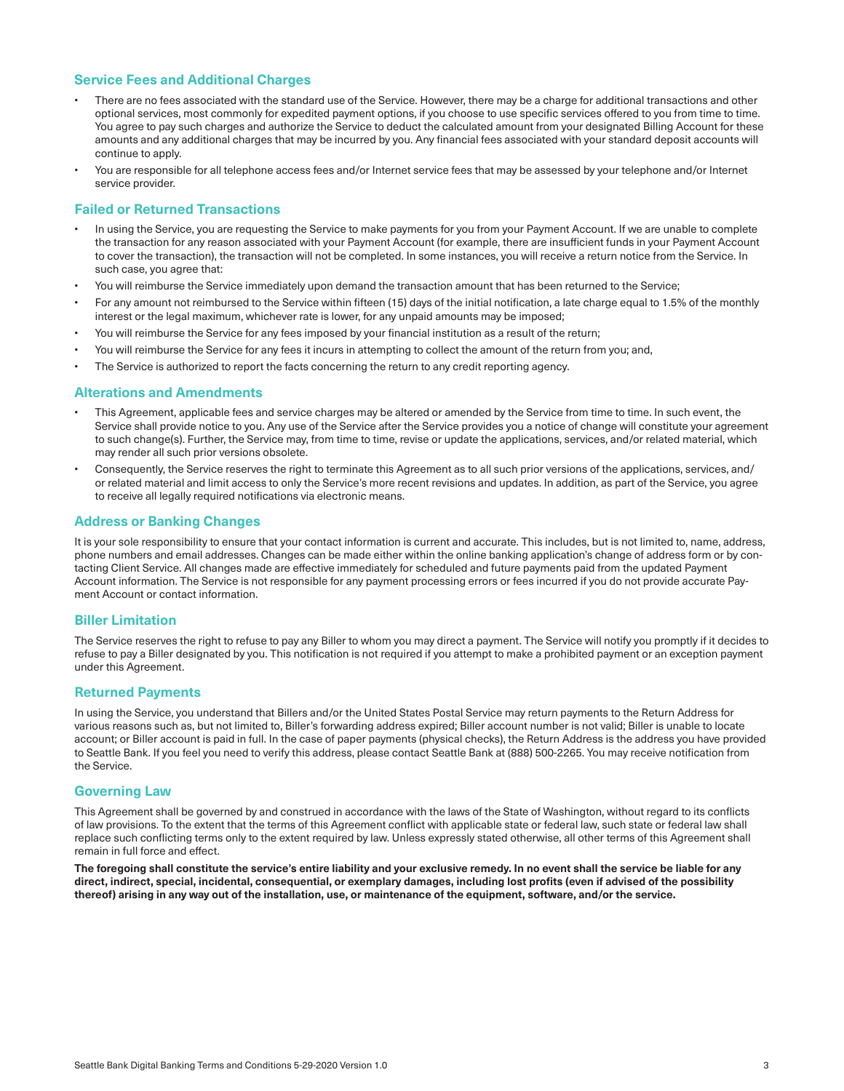# **Service Fees and Additional Charges**

- There are no fees associated with the standard use of the Service. However, there may be a charge for additional transactions and other optional services, most commonly for expedited payment options, if you choose to use specific services offered to you from time to time. You agree to pay such charges and authorize the Service to deduct the calculated amount from your designated Billing Account for these amounts and any additional charges that may be incurred by you. Any financial fees associated with your standard deposit accounts will continue to apply.
- You are responsible for all telephone access fees and/or Internet service fees that may be assessed by your telephone and/or Internet service provider.

## **Failed or Returned Transactions**

- In using the Service, you are requesting the Service to make payments for you from your Payment Account. If we are unable to complete the transaction for any reason associated with your Payment Account (for example, there are insufficient funds in your Payment Account to cover the transaction), the transaction will not be completed. In some instances, you will receive a return notice from the Service. In such case, you agree that:
- You will reimburse the Service immediately upon demand the transaction amount that has been returned to the Service;
- For any amount not reimbursed to the Service within fifteen (15) days of the initial notification, a late charge equal to 1.5% of the monthly interest or the legal maximum, whichever rate is lower, for any unpaid amounts may be imposed;
- You will reimburse the Service for any fees imposed by your financial institution as a result of the return;
- You will reimburse the Service for any fees it incurs in attempting to collect the amount of the return from you; and,
- The Service is authorized to report the facts concerning the return to any credit reporting agency.

#### **Alterations and Amendments**

- This Agreement, applicable fees and service charges may be altered or amended by the Service from time to time. In such event, the Service shall provide notice to you. Any use of the Service after the Service provides you a notice of change will constitute your agreement to such change(s). Further, the Service may, from time to time, revise or update the applications, services, and/or related material, which may render all such prior versions obsolete.
- Consequently, the Service reserves the right to terminate this Agreement as to all such prior versions of the applications, services, and/ or related material and limit access to only the Service's more recent revisions and updates. In addition, as part of the Service, you agree to receive all legally required notifications via electronic means.

#### **Address or Banking Changes**

It is your sole responsibility to ensure that your contact information is current and accurate. This includes, but is not limited to, name, address, phone numbers and email addresses. Changes can be made either within the online banking application's change of address form or by contacting Client Service. All changes made are effective immediately for scheduled and future payments paid from the updated Payment Account information. The Service is not responsible for any payment processing errors or fees incurred if you do not provide accurate Payment Account or contact information.

#### **Biller Limitation**

The Service reserves the right to refuse to pay any Biller to whom you may direct a payment. The Service will notify you promptly if it decides to refuse to pay a Biller designated by you. This notification is not required if you attempt to make a prohibited payment or an exception payment under this Agreement.

# **Returned Payments**

In using the Service, you understand that Billers and/or the United States Postal Service may return payments to the Return Address for various reasons such as, but not limited to, Biller's forwarding address expired; Biller account number is not valid; Biller is unable to locate account; or Biller account is paid in full. In the case of paper payments (physical checks), the Return Address is the address you have provided to Seattle Bank. If you feel you need to verify this address, please contact Seattle Bank at (888) 500-2265. You may receive notification from the Service.

#### **Governing Law**

This Agreement shall be governed by and construed in accordance with the laws of the State of Washington, without regard to its conflicts of law provisions. To the extent that the terms of this Agreement conflict with applicable state or federal law, such state or federal law shall replace such conflicting terms only to the extent required by law. Unless expressly stated otherwise, all other terms of this Agreement shall remain in full force and effect.

**The foregoing shall constitute the service's entire liability and your exclusive remedy. In no event shall the service be liable for any direct, indirect, special, incidental, consequential, or exemplary damages, including lost profits (even if advised of the possibility thereof) arising in any way out of the installation, use, or maintenance of the equipment, software, and/or the service.**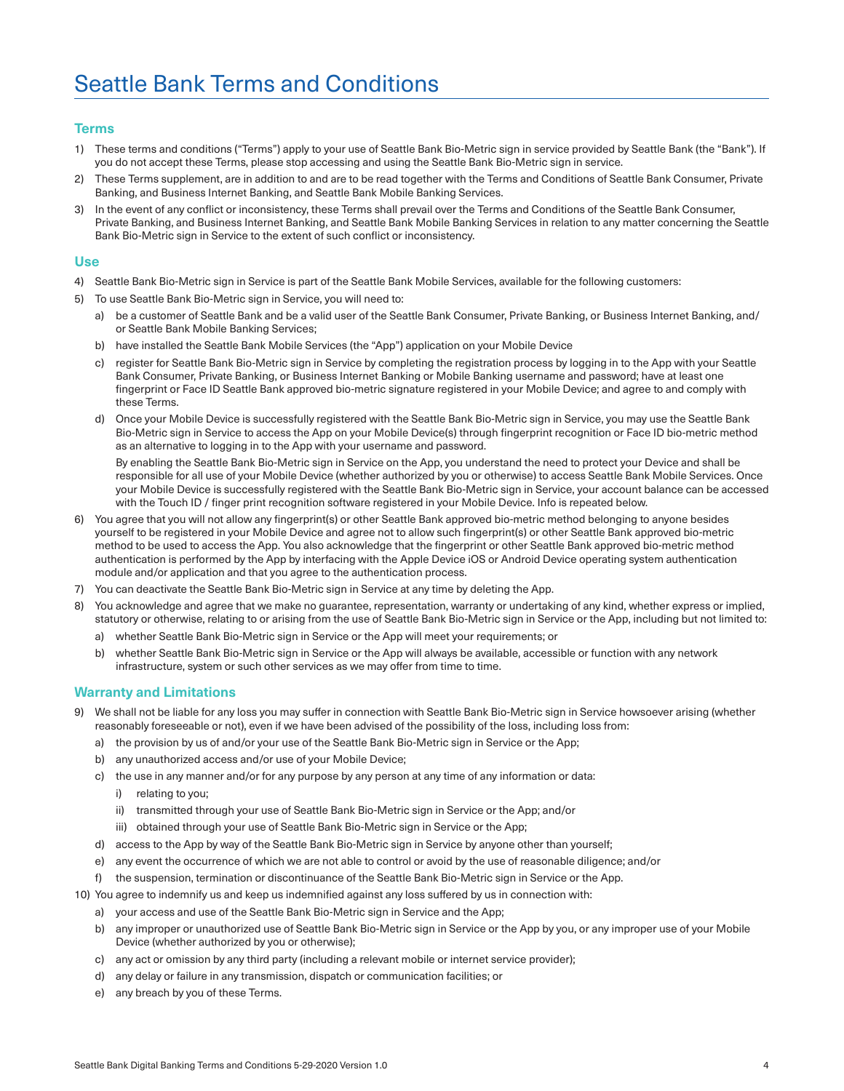## **Terms**

- 1) These terms and conditions ("Terms") apply to your use of Seattle Bank Bio-Metric sign in service provided by Seattle Bank (the "Bank"). If you do not accept these Terms, please stop accessing and using the Seattle Bank Bio-Metric sign in service.
- 2) These Terms supplement, are in addition to and are to be read together with the Terms and Conditions of Seattle Bank Consumer, Private Banking, and Business Internet Banking, and Seattle Bank Mobile Banking Services.
- 3) In the event of any conflict or inconsistency, these Terms shall prevail over the Terms and Conditions of the Seattle Bank Consumer, Private Banking, and Business Internet Banking, and Seattle Bank Mobile Banking Services in relation to any matter concerning the Seattle Bank Bio-Metric sign in Service to the extent of such conflict or inconsistency.

#### **Use**

- 4) Seattle Bank Bio-Metric sign in Service is part of the Seattle Bank Mobile Services, available for the following customers:
- 5) To use Seattle Bank Bio-Metric sign in Service, you will need to:
	- a) be a customer of Seattle Bank and be a valid user of the Seattle Bank Consumer, Private Banking, or Business Internet Banking, and/ or Seattle Bank Mobile Banking Services;
	- b) have installed the Seattle Bank Mobile Services (the "App") application on your Mobile Device
	- c) register for Seattle Bank Bio-Metric sign in Service by completing the registration process by logging in to the App with your Seattle Bank Consumer, Private Banking, or Business Internet Banking or Mobile Banking username and password; have at least one fingerprint or Face ID Seattle Bank approved bio-metric signature registered in your Mobile Device; and agree to and comply with these Terms.
	- d) Once your Mobile Device is successfully registered with the Seattle Bank Bio-Metric sign in Service, you may use the Seattle Bank Bio-Metric sign in Service to access the App on your Mobile Device(s) through fingerprint recognition or Face ID bio-metric method as an alternative to logging in to the App with your username and password.

 By enabling the Seattle Bank Bio-Metric sign in Service on the App, you understand the need to protect your Device and shall be responsible for all use of your Mobile Device (whether authorized by you or otherwise) to access Seattle Bank Mobile Services. Once your Mobile Device is successfully registered with the Seattle Bank Bio-Metric sign in Service, your account balance can be accessed with the Touch ID / finger print recognition software registered in your Mobile Device. Info is repeated below.

- You agree that you will not allow any fingerprint(s) or other Seattle Bank approved bio-metric method belonging to anyone besides yourself to be registered in your Mobile Device and agree not to allow such fingerprint(s) or other Seattle Bank approved bio-metric method to be used to access the App. You also acknowledge that the fingerprint or other Seattle Bank approved bio-metric method authentication is performed by the App by interfacing with the Apple Device iOS or Android Device operating system authentication module and/or application and that you agree to the authentication process.
- 7) You can deactivate the Seattle Bank Bio-Metric sign in Service at any time by deleting the App.
- You acknowledge and agree that we make no guarantee, representation, warranty or undertaking of any kind, whether express or implied, statutory or otherwise, relating to or arising from the use of Seattle Bank Bio-Metric sign in Service or the App, including but not limited to:
	- a) whether Seattle Bank Bio-Metric sign in Service or the App will meet your requirements; or
	- b) whether Seattle Bank Bio-Metric sign in Service or the App will always be available, accessible or function with any network infrastructure, system or such other services as we may offer from time to time.

#### **Warranty and Limitations**

- We shall not be liable for any loss you may suffer in connection with Seattle Bank Bio-Metric sign in Service howsoever arising (whether reasonably foreseeable or not), even if we have been advised of the possibility of the loss, including loss from:
	- a) the provision by us of and/or your use of the Seattle Bank Bio-Metric sign in Service or the App;
	- b) any unauthorized access and/or use of your Mobile Device;
	- c) the use in any manner and/or for any purpose by any person at any time of any information or data:
		- i) relating to you;
		- ii) transmitted through your use of Seattle Bank Bio-Metric sign in Service or the App; and/or
		- iii) obtained through your use of Seattle Bank Bio-Metric sign in Service or the App;
	- d) access to the App by way of the Seattle Bank Bio-Metric sign in Service by anyone other than yourself:
	- e) any event the occurrence of which we are not able to control or avoid by the use of reasonable diligence; and/or
	- the suspension, termination or discontinuance of the Seattle Bank Bio-Metric sign in Service or the App.
- 10) You agree to indemnify us and keep us indemnified against any loss suffered by us in connection with:
	- a) your access and use of the Seattle Bank Bio-Metric sign in Service and the App;
	- b) any improper or unauthorized use of Seattle Bank Bio-Metric sign in Service or the App by you, or any improper use of your Mobile Device (whether authorized by you or otherwise);
	- c) any act or omission by any third party (including a relevant mobile or internet service provider);
	- d) any delay or failure in any transmission, dispatch or communication facilities; or
	- e) any breach by you of these Terms.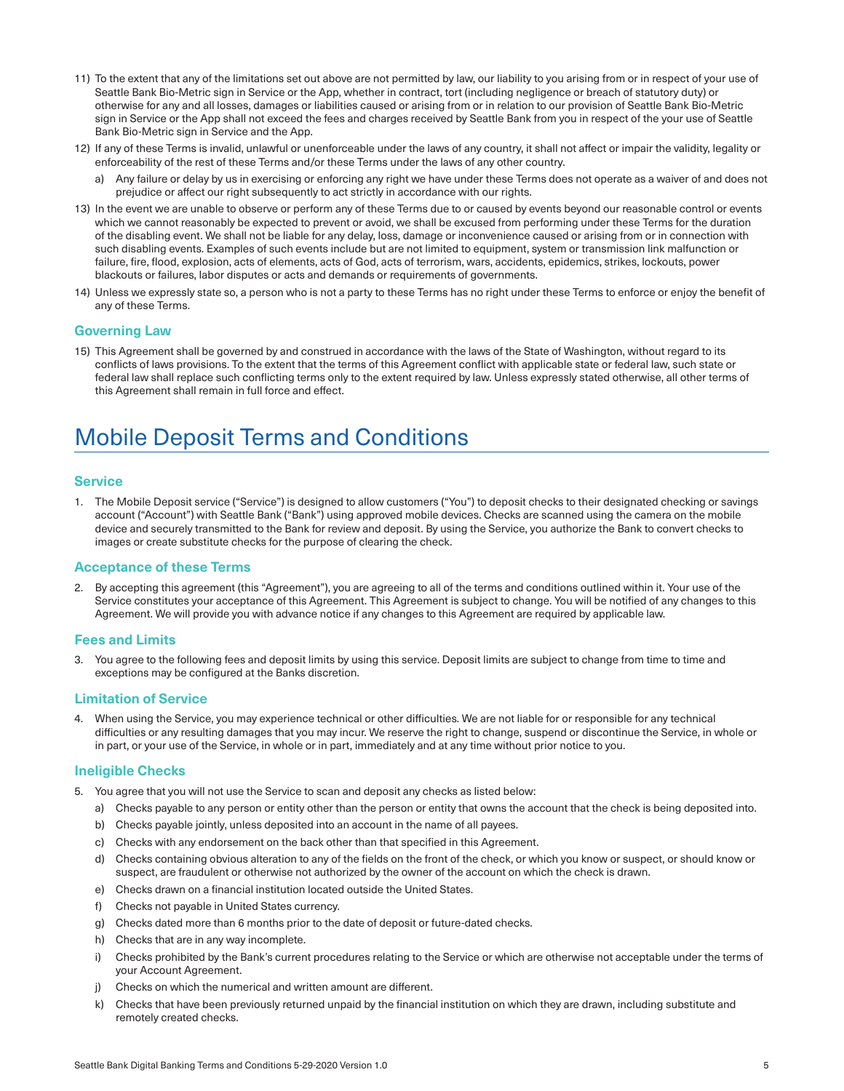- 11) To the extent that any of the limitations set out above are not permitted by law, our liability to you arising from or in respect of your use of Seattle Bank Bio-Metric sign in Service or the App, whether in contract, tort (including negligence or breach of statutory duty) or otherwise for any and all losses, damages or liabilities caused or arising from or in relation to our provision of Seattle Bank Bio-Metric sign in Service or the App shall not exceed the fees and charges received by Seattle Bank from you in respect of the your use of Seattle Bank Bio-Metric sign in Service and the App.
- 12) If any of these Terms is invalid, unlawful or unenforceable under the laws of any country, it shall not affect or impair the validity, legality or enforceability of the rest of these Terms and/or these Terms under the laws of any other country.
	- a) Any failure or delay by us in exercising or enforcing any right we have under these Terms does not operate as a waiver of and does not prejudice or affect our right subsequently to act strictly in accordance with our rights.
- 13) In the event we are unable to observe or perform any of these Terms due to or caused by events beyond our reasonable control or events which we cannot reasonably be expected to prevent or avoid, we shall be excused from performing under these Terms for the duration of the disabling event. We shall not be liable for any delay, loss, damage or inconvenience caused or arising from or in connection with such disabling events. Examples of such events include but are not limited to equipment, system or transmission link malfunction or failure, fire, flood, explosion, acts of elements, acts of God, acts of terrorism, wars, accidents, epidemics, strikes, lockouts, power blackouts or failures, labor disputes or acts and demands or requirements of governments.
- 14) Unless we expressly state so, a person who is not a party to these Terms has no right under these Terms to enforce or enjoy the benefit of any of these Terms.

# **Governing Law**

15) This Agreement shall be governed by and construed in accordance with the laws of the State of Washington, without regard to its conflicts of laws provisions. To the extent that the terms of this Agreement conflict with applicable state or federal law, such state or federal law shall replace such conflicting terms only to the extent required by law. Unless expressly stated otherwise, all other terms of this Agreement shall remain in full force and effect.

# Mobile Deposit Terms and Conditions

#### **Service**

1. The Mobile Deposit service ("Service") is designed to allow customers ("You") to deposit checks to their designated checking or savings account ("Account") with Seattle Bank ("Bank") using approved mobile devices. Checks are scanned using the camera on the mobile device and securely transmitted to the Bank for review and deposit. By using the Service, you authorize the Bank to convert checks to images or create substitute checks for the purpose of clearing the check.

#### **Acceptance of these Terms**

2. By accepting this agreement (this "Agreement"), you are agreeing to all of the terms and conditions outlined within it. Your use of the Service constitutes your acceptance of this Agreement. This Agreement is subject to change. You will be notified of any changes to this Agreement. We will provide you with advance notice if any changes to this Agreement are required by applicable law.

#### **Fees and Limits**

3. You agree to the following fees and deposit limits by using this service. Deposit limits are subject to change from time to time and exceptions may be configured at the Banks discretion.

#### **Limitation of Service**

4. When using the Service, you may experience technical or other difficulties. We are not liable for or responsible for any technical difficulties or any resulting damages that you may incur. We reserve the right to change, suspend or discontinue the Service, in whole or in part, or your use of the Service, in whole or in part, immediately and at any time without prior notice to you.

#### **Ineligible Checks**

- 5. You agree that you will not use the Service to scan and deposit any checks as listed below:
	- a) Checks payable to any person or entity other than the person or entity that owns the account that the check is being deposited into.
	- b) Checks payable jointly, unless deposited into an account in the name of all payees.
	- c) Checks with any endorsement on the back other than that specified in this Agreement.
	- d) Checks containing obvious alteration to any of the fields on the front of the check, or which you know or suspect, or should know or suspect, are fraudulent or otherwise not authorized by the owner of the account on which the check is drawn.
	- e) Checks drawn on a financial institution located outside the United States.
	- f) Checks not payable in United States currency.
	- g) Checks dated more than 6 months prior to the date of deposit or future-dated checks.
	- h) Checks that are in any way incomplete.
	- i) Checks prohibited by the Bank's current procedures relating to the Service or which are otherwise not acceptable under the terms of your Account Agreement.
	- j) Checks on which the numerical and written amount are different.
	- k) Checks that have been previously returned unpaid by the financial institution on which they are drawn, including substitute and remotely created checks.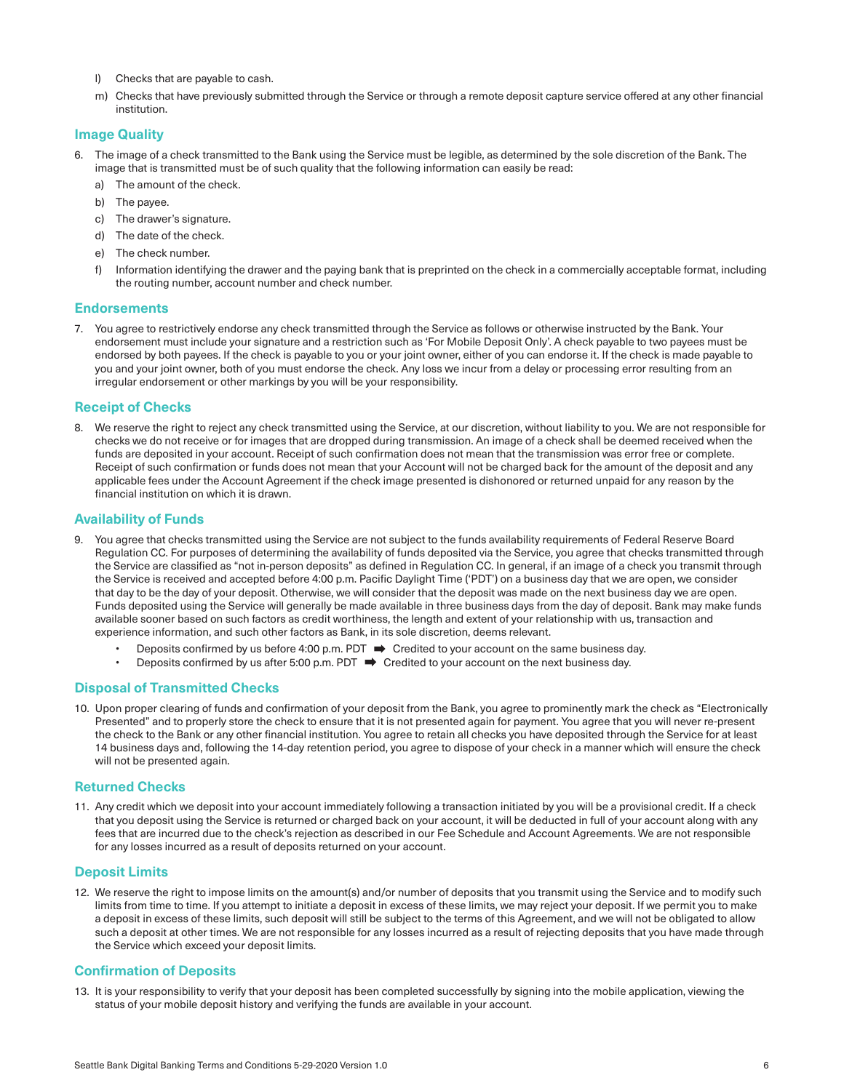- I) Checks that are payable to cash.
- m) Checks that have previously submitted through the Service or through a remote deposit capture service offered at any other financial institution.

# **Image Quality**

- 6. The image of a check transmitted to the Bank using the Service must be legible, as determined by the sole discretion of the Bank. The image that is transmitted must be of such quality that the following information can easily be read:
	- a) The amount of the check.
	- b) The payee.
	- c) The drawer's signature.
	- d) The date of the check.
	- e) The check number.
	- f) Information identifying the drawer and the paying bank that is preprinted on the check in a commercially acceptable format, including the routing number, account number and check number.

#### **Endorsements**

7. You agree to restrictively endorse any check transmitted through the Service as follows or otherwise instructed by the Bank. Your endorsement must include your signature and a restriction such as 'For Mobile Deposit Only'. A check payable to two payees must be endorsed by both payees. If the check is payable to you or your joint owner, either of you can endorse it. If the check is made payable to you and your joint owner, both of you must endorse the check. Any loss we incur from a delay or processing error resulting from an irregular endorsement or other markings by you will be your responsibility.

#### **Receipt of Checks**

8. We reserve the right to reject any check transmitted using the Service, at our discretion, without liability to you. We are not responsible for checks we do not receive or for images that are dropped during transmission. An image of a check shall be deemed received when the funds are deposited in your account. Receipt of such confirmation does not mean that the transmission was error free or complete. Receipt of such confirmation or funds does not mean that your Account will not be charged back for the amount of the deposit and any applicable fees under the Account Agreement if the check image presented is dishonored or returned unpaid for any reason by the financial institution on which it is drawn.

#### **Availability of Funds**

- 9. You agree that checks transmitted using the Service are not subject to the funds availability requirements of Federal Reserve Board Regulation CC. For purposes of determining the availability of funds deposited via the Service, you agree that checks transmitted through the Service are classified as "not in-person deposits" as defined in Regulation CC. In general, if an image of a check you transmit through the Service is received and accepted before 4:00 p.m. Pacific Daylight Time ('PDT') on a business day that we are open, we consider that day to be the day of your deposit. Otherwise, we will consider that the deposit was made on the next business day we are open. Funds deposited using the Service will generally be made available in three business days from the day of deposit. Bank may make funds available sooner based on such factors as credit worthiness, the length and extent of your relationship with us, transaction and experience information, and such other factors as Bank, in its sole discretion, deems relevant.
	- Deposits confirmed by us before 4:00 p.m. PDT  $\implies$  Credited to your account on the same business day.
	- Deposits confirmed by us after 5:00 p.m. PDT  $\implies$  Credited to your account on the next business day.

#### **Disposal of Transmitted Checks**

10. Upon proper clearing of funds and confirmation of your deposit from the Bank, you agree to prominently mark the check as "Electronically Presented" and to properly store the check to ensure that it is not presented again for payment. You agree that you will never re-present the check to the Bank or any other financial institution. You agree to retain all checks you have deposited through the Service for at least 14 business days and, following the 14-day retention period, you agree to dispose of your check in a manner which will ensure the check will not be presented again.

#### **Returned Checks**

11. Any credit which we deposit into your account immediately following a transaction initiated by you will be a provisional credit. If a check that you deposit using the Service is returned or charged back on your account, it will be deducted in full of your account along with any fees that are incurred due to the check's rejection as described in our Fee Schedule and Account Agreements. We are not responsible for any losses incurred as a result of deposits returned on your account.

#### **Deposit Limits**

12. We reserve the right to impose limits on the amount(s) and/or number of deposits that you transmit using the Service and to modify such limits from time to time. If you attempt to initiate a deposit in excess of these limits, we may reject your deposit. If we permit you to make a deposit in excess of these limits, such deposit will still be subject to the terms of this Agreement, and we will not be obligated to allow such a deposit at other times. We are not responsible for any losses incurred as a result of rejecting deposits that you have made through the Service which exceed your deposit limits.

#### **Confirmation of Deposits**

13. It is your responsibility to verify that your deposit has been completed successfully by signing into the mobile application, viewing the status of your mobile deposit history and verifying the funds are available in your account.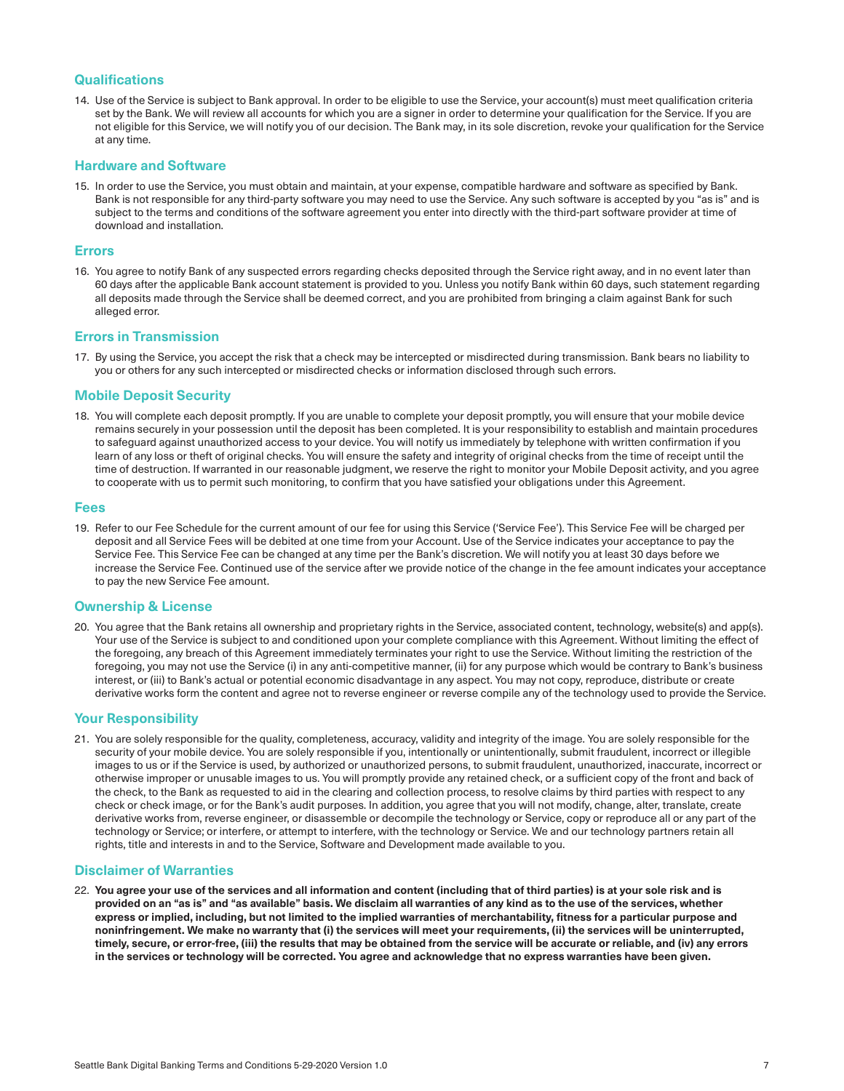## **Qualifications**

14. Use of the Service is subject to Bank approval. In order to be eligible to use the Service, your account(s) must meet qualification criteria set by the Bank. We will review all accounts for which you are a signer in order to determine your qualification for the Service. If you are not eligible for this Service, we will notify you of our decision. The Bank may, in its sole discretion, revoke your qualification for the Service at any time.

#### **Hardware and Software**

15. In order to use the Service, you must obtain and maintain, at your expense, compatible hardware and software as specified by Bank. Bank is not responsible for any third-party software you may need to use the Service. Any such software is accepted by you "as is" and is subject to the terms and conditions of the software agreement you enter into directly with the third-part software provider at time of download and installation.

#### **Errors**

16. You agree to notify Bank of any suspected errors regarding checks deposited through the Service right away, and in no event later than 60 days after the applicable Bank account statement is provided to you. Unless you notify Bank within 60 days, such statement regarding all deposits made through the Service shall be deemed correct, and you are prohibited from bringing a claim against Bank for such alleged error.

#### **Errors in Transmission**

17. By using the Service, you accept the risk that a check may be intercepted or misdirected during transmission. Bank bears no liability to you or others for any such intercepted or misdirected checks or information disclosed through such errors.

#### **Mobile Deposit Security**

18. You will complete each deposit promptly. If you are unable to complete your deposit promptly, you will ensure that your mobile device remains securely in your possession until the deposit has been completed. It is your responsibility to establish and maintain procedures to safeguard against unauthorized access to your device. You will notify us immediately by telephone with written confirmation if you learn of any loss or theft of original checks. You will ensure the safety and integrity of original checks from the time of receipt until the time of destruction. If warranted in our reasonable judgment, we reserve the right to monitor your Mobile Deposit activity, and you agree to cooperate with us to permit such monitoring, to confirm that you have satisfied your obligations under this Agreement.

#### **Fees**

19. Refer to our Fee Schedule for the current amount of our fee for using this Service ('Service Fee'). This Service Fee will be charged per deposit and all Service Fees will be debited at one time from your Account. Use of the Service indicates your acceptance to pay the Service Fee. This Service Fee can be changed at any time per the Bank's discretion. We will notify you at least 30 days before we increase the Service Fee. Continued use of the service after we provide notice of the change in the fee amount indicates your acceptance to pay the new Service Fee amount.

#### **Ownership & License**

20. You agree that the Bank retains all ownership and proprietary rights in the Service, associated content, technology, website(s) and app(s). Your use of the Service is subject to and conditioned upon your complete compliance with this Agreement. Without limiting the effect of the foregoing, any breach of this Agreement immediately terminates your right to use the Service. Without limiting the restriction of the foregoing, you may not use the Service (i) in any anti-competitive manner, (ii) for any purpose which would be contrary to Bank's business interest, or (iii) to Bank's actual or potential economic disadvantage in any aspect. You may not copy, reproduce, distribute or create derivative works form the content and agree not to reverse engineer or reverse compile any of the technology used to provide the Service.

#### **Your Responsibility**

21. You are solely responsible for the quality, completeness, accuracy, validity and integrity of the image. You are solely responsible for the security of your mobile device. You are solely responsible if you, intentionally or unintentionally, submit fraudulent, incorrect or illegible images to us or if the Service is used, by authorized or unauthorized persons, to submit fraudulent, unauthorized, inaccurate, incorrect or otherwise improper or unusable images to us. You will promptly provide any retained check, or a sufficient copy of the front and back of the check, to the Bank as requested to aid in the clearing and collection process, to resolve claims by third parties with respect to any check or check image, or for the Bank's audit purposes. In addition, you agree that you will not modify, change, alter, translate, create derivative works from, reverse engineer, or disassemble or decompile the technology or Service, copy or reproduce all or any part of the technology or Service; or interfere, or attempt to interfere, with the technology or Service. We and our technology partners retain all rights, title and interests in and to the Service, Software and Development made available to you.

#### **Disclaimer of Warranties**

22. You agree your use of the services and all information and content (including that of third parties) is at your sole risk and is **provided on an "as is" and "as available" basis. We disclaim all warranties of any kind as to the use of the services, whether express or implied, including, but not limited to the implied warranties of merchantability, fitness for a particular purpose and noninfringement. We make no warranty that (i) the services will meet your requirements, (ii) the services will be uninterrupted, timely, secure, or error-free, (iii) the results that may be obtained from the service will be accurate or reliable, and (iv) any errors in the services or technology will be corrected. You agree and acknowledge that no express warranties have been given.**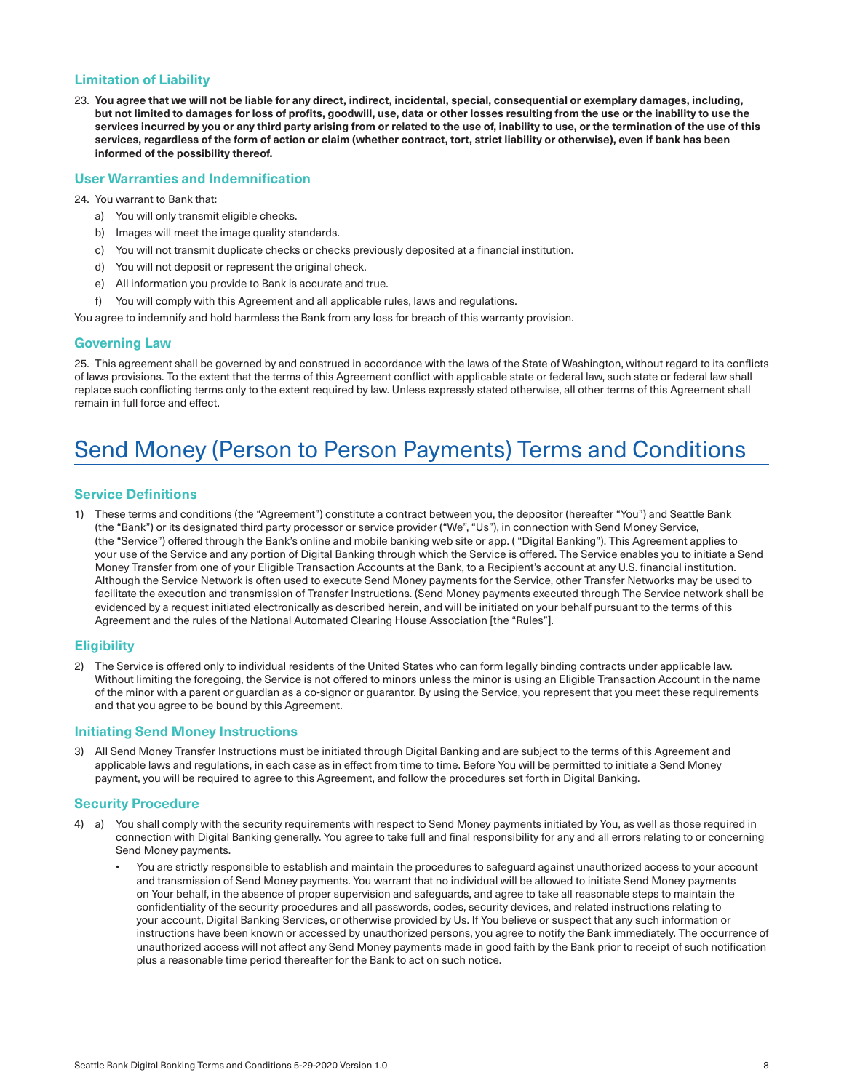# **Limitation of Liability**

23. **You agree that we will not be liable for any direct, indirect, incidental, special, consequential or exemplary damages, including, but not limited to damages for loss of profits, goodwill, use, data or other losses resulting from the use or the inability to use the services incurred by you or any third party arising from or related to the use of, inability to use, or the termination of the use of this services, regardless of the form of action or claim (whether contract, tort, strict liability or otherwise), even if bank has been informed of the possibility thereof.** 

#### **User Warranties and Indemnification**

#### 24. You warrant to Bank that:

- a) You will only transmit eligible checks.
- b) Images will meet the image quality standards.
- c) You will not transmit duplicate checks or checks previously deposited at a financial institution.
- d) You will not deposit or represent the original check.
- e) All information you provide to Bank is accurate and true.
- f) You will comply with this Agreement and all applicable rules, laws and regulations.

You agree to indemnify and hold harmless the Bank from any loss for breach of this warranty provision.

#### **Governing Law**

25. This agreement shall be governed by and construed in accordance with the laws of the State of Washington, without regard to its conflicts of laws provisions. To the extent that the terms of this Agreement conflict with applicable state or federal law, such state or federal law shall replace such conflicting terms only to the extent required by law. Unless expressly stated otherwise, all other terms of this Agreement shall remain in full force and effect.

# Send Money (Person to Person Payments) Terms and Conditions

#### **Service Definitions**

1) These terms and conditions (the "Agreement") constitute a contract between you, the depositor (hereafter "You") and Seattle Bank (the "Bank") or its designated third party processor or service provider ("We", "Us"), in connection with Send Money Service, (the "Service") offered through the Bank's online and mobile banking web site or app. ( "Digital Banking"). This Agreement applies to your use of the Service and any portion of Digital Banking through which the Service is offered. The Service enables you to initiate a Send Money Transfer from one of your Eligible Transaction Accounts at the Bank, to a Recipient's account at any U.S. financial institution. Although the Service Network is often used to execute Send Money payments for the Service, other Transfer Networks may be used to facilitate the execution and transmission of Transfer Instructions. (Send Money payments executed through The Service network shall be evidenced by a request initiated electronically as described herein, and will be initiated on your behalf pursuant to the terms of this Agreement and the rules of the National Automated Clearing House Association [the "Rules"].

#### **Eligibility**

2) The Service is offered only to individual residents of the United States who can form legally binding contracts under applicable law. Without limiting the foregoing, the Service is not offered to minors unless the minor is using an Eligible Transaction Account in the name of the minor with a parent or guardian as a co-signor or guarantor. By using the Service, you represent that you meet these requirements and that you agree to be bound by this Agreement.

#### **Initiating Send Money Instructions**

3) All Send Money Transfer Instructions must be initiated through Digital Banking and are subject to the terms of this Agreement and applicable laws and regulations, in each case as in effect from time to time. Before You will be permitted to initiate a Send Money payment, you will be required to agree to this Agreement, and follow the procedures set forth in Digital Banking.

#### **Security Procedure**

- 4) a) You shall comply with the security requirements with respect to Send Money payments initiated by You, as well as those required in connection with Digital Banking generally. You agree to take full and final responsibility for any and all errors relating to or concerning Send Money payments.
	- You are strictly responsible to establish and maintain the procedures to safeguard against unauthorized access to your account and transmission of Send Money payments. You warrant that no individual will be allowed to initiate Send Money payments on Your behalf, in the absence of proper supervision and safeguards, and agree to take all reasonable steps to maintain the confidentiality of the security procedures and all passwords, codes, security devices, and related instructions relating to your account, Digital Banking Services, or otherwise provided by Us. If You believe or suspect that any such information or instructions have been known or accessed by unauthorized persons, you agree to notify the Bank immediately. The occurrence of unauthorized access will not affect any Send Money payments made in good faith by the Bank prior to receipt of such notification plus a reasonable time period thereafter for the Bank to act on such notice.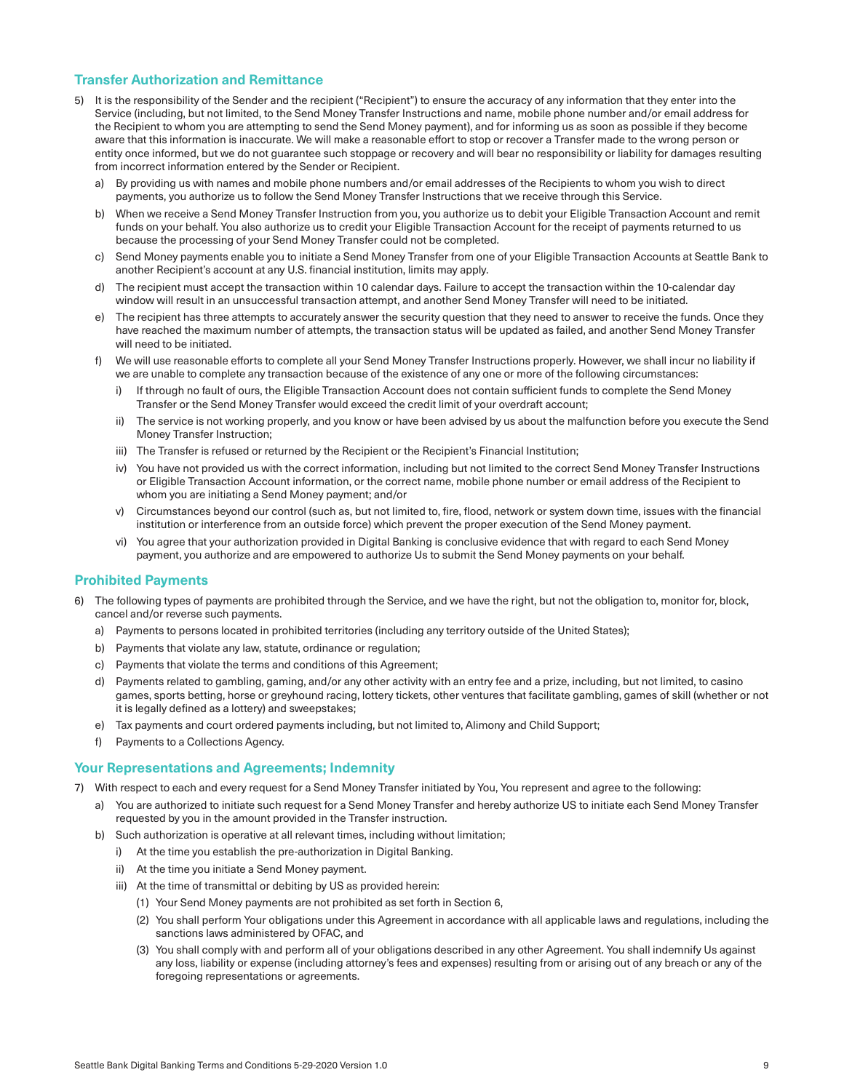# **Transfer Authorization and Remittance**

- 5) It is the responsibility of the Sender and the recipient ("Recipient") to ensure the accuracy of any information that they enter into the Service (including, but not limited, to the Send Money Transfer Instructions and name, mobile phone number and/or email address for the Recipient to whom you are attempting to send the Send Money payment), and for informing us as soon as possible if they become aware that this information is inaccurate. We will make a reasonable effort to stop or recover a Transfer made to the wrong person or entity once informed, but we do not guarantee such stoppage or recovery and will bear no responsibility or liability for damages resulting from incorrect information entered by the Sender or Recipient.
	- a) By providing us with names and mobile phone numbers and/or email addresses of the Recipients to whom you wish to direct payments, you authorize us to follow the Send Money Transfer Instructions that we receive through this Service.
	- b) When we receive a Send Money Transfer Instruction from you, you authorize us to debit your Eligible Transaction Account and remit funds on your behalf. You also authorize us to credit your Eligible Transaction Account for the receipt of payments returned to us because the processing of your Send Money Transfer could not be completed.
	- c) Send Money payments enable you to initiate a Send Money Transfer from one of your Eligible Transaction Accounts at Seattle Bank to another Recipient's account at any U.S. financial institution, limits may apply.
	- d) The recipient must accept the transaction within 10 calendar days. Failure to accept the transaction within the 10-calendar day window will result in an unsuccessful transaction attempt, and another Send Money Transfer will need to be initiated.
	- e) The recipient has three attempts to accurately answer the security question that they need to answer to receive the funds. Once they have reached the maximum number of attempts, the transaction status will be updated as failed, and another Send Money Transfer will need to be initiated.
	- f) We will use reasonable efforts to complete all your Send Money Transfer Instructions properly. However, we shall incur no liability if we are unable to complete any transaction because of the existence of any one or more of the following circumstances:
		- i) If through no fault of ours, the Eligible Transaction Account does not contain sufficient funds to complete the Send Money Transfer or the Send Money Transfer would exceed the credit limit of your overdraft account;
		- ii) The service is not working properly, and you know or have been advised by us about the malfunction before you execute the Send Money Transfer Instruction;
		- iii) The Transfer is refused or returned by the Recipient or the Recipient's Financial Institution;
		- iv) You have not provided us with the correct information, including but not limited to the correct Send Money Transfer Instructions or Eligible Transaction Account information, or the correct name, mobile phone number or email address of the Recipient to whom you are initiating a Send Money payment; and/or
		- v) Circumstances beyond our control (such as, but not limited to, fire, flood, network or system down time, issues with the financial institution or interference from an outside force) which prevent the proper execution of the Send Money payment.
		- vi) You agree that your authorization provided in Digital Banking is conclusive evidence that with regard to each Send Money payment, you authorize and are empowered to authorize Us to submit the Send Money payments on your behalf.

#### **Prohibited Payments**

- The following types of payments are prohibited through the Service, and we have the right, but not the obligation to, monitor for, block, cancel and/or reverse such payments.
	- a) Payments to persons located in prohibited territories (including any territory outside of the United States);
	- b) Payments that violate any law, statute, ordinance or regulation;
	- c) Payments that violate the terms and conditions of this Agreement;
	- d) Payments related to gambling, gaming, and/or any other activity with an entry fee and a prize, including, but not limited, to casino games, sports betting, horse or greyhound racing, lottery tickets, other ventures that facilitate gambling, games of skill (whether or not it is legally defined as a lottery) and sweepstakes;
	- e) Tax payments and court ordered payments including, but not limited to, Alimony and Child Support;
	- Payments to a Collections Agency.

## **Your Representations and Agreements; Indemnity**

- 7) With respect to each and every request for a Send Money Transfer initiated by You, You represent and agree to the following:
	- a) You are authorized to initiate such request for a Send Money Transfer and hereby authorize US to initiate each Send Money Transfer requested by you in the amount provided in the Transfer instruction.
	- b) Such authorization is operative at all relevant times, including without limitation;
		- i) At the time you establish the pre-authorization in Digital Banking.
		- ii) At the time you initiate a Send Money payment.
		- iii) At the time of transmittal or debiting by US as provided herein:
			- (1) Your Send Money payments are not prohibited as set forth in Section 6,
			- (2) You shall perform Your obligations under this Agreement in accordance with all applicable laws and regulations, including the sanctions laws administered by OFAC, and
			- (3) You shall comply with and perform all of your obligations described in any other Agreement. You shall indemnify Us against any loss, liability or expense (including attorney's fees and expenses) resulting from or arising out of any breach or any of the foregoing representations or agreements.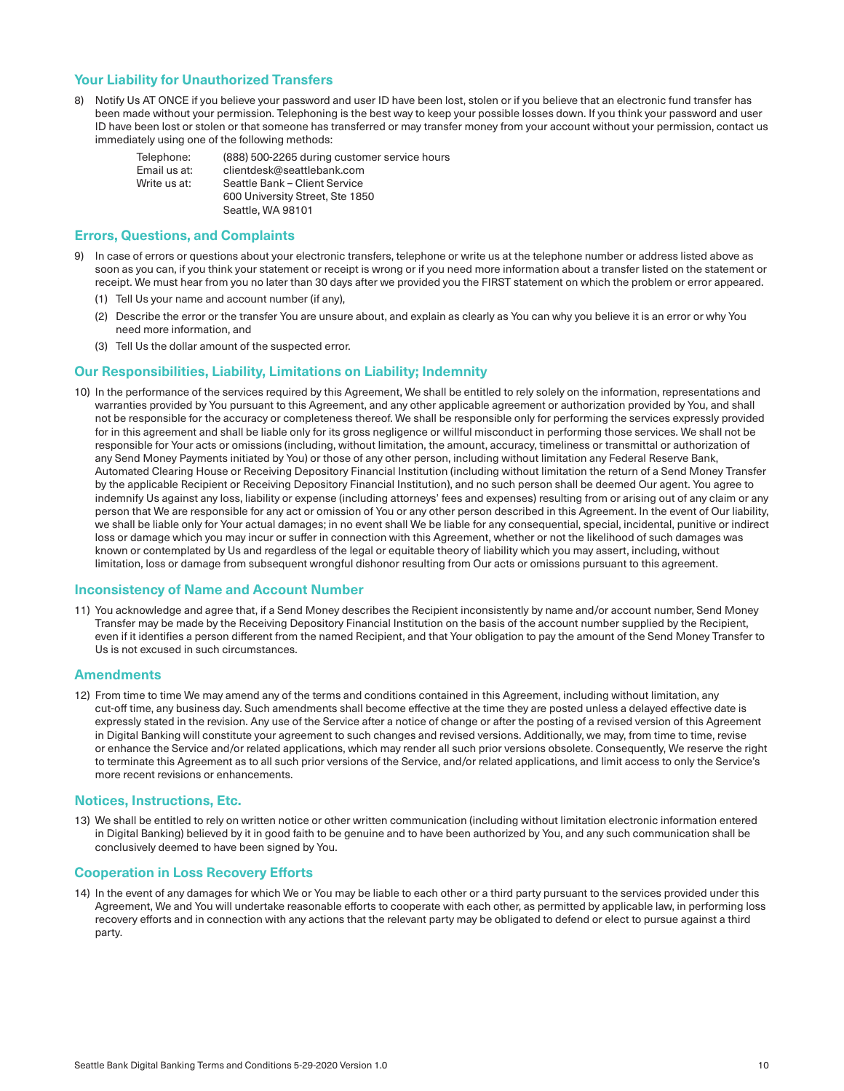# **Your Liability for Unauthorized Transfers**

8) Notify Us AT ONCE if you believe your password and user ID have been lost, stolen or if you believe that an electronic fund transfer has been made without your permission. Telephoning is the best way to keep your possible losses down. If you think your password and user ID have been lost or stolen or that someone has transferred or may transfer money from your account without your permission, contact us immediately using one of the following methods:

| Telephone:   | (888) 500-2265 during customer service hours |
|--------------|----------------------------------------------|
| Email us at: | clientdesk@seattlebank.com                   |
| Write us at: | Seattle Bank - Client Service                |
|              | 600 University Street, Ste 1850              |
|              | Seattle, WA 98101                            |

### **Errors, Questions, and Complaints**

- 9) In case of errors or questions about your electronic transfers, telephone or write us at the telephone number or address listed above as soon as you can, if you think your statement or receipt is wrong or if you need more information about a transfer listed on the statement or receipt. We must hear from you no later than 30 days after we provided you the FIRST statement on which the problem or error appeared.
	- (1) Tell Us your name and account number (if any),
	- (2) Describe the error or the transfer You are unsure about, and explain as clearly as You can why you believe it is an error or why You need more information, and
	- (3) Tell Us the dollar amount of the suspected error.

# **Our Responsibilities, Liability, Limitations on Liability; Indemnity**

10) In the performance of the services required by this Agreement, We shall be entitled to rely solely on the information, representations and warranties provided by You pursuant to this Agreement, and any other applicable agreement or authorization provided by You, and shall not be responsible for the accuracy or completeness thereof. We shall be responsible only for performing the services expressly provided for in this agreement and shall be liable only for its gross negligence or willful misconduct in performing those services. We shall not be responsible for Your acts or omissions (including, without limitation, the amount, accuracy, timeliness or transmittal or authorization of any Send Money Payments initiated by You) or those of any other person, including without limitation any Federal Reserve Bank, Automated Clearing House or Receiving Depository Financial Institution (including without limitation the return of a Send Money Transfer by the applicable Recipient or Receiving Depository Financial Institution), and no such person shall be deemed Our agent. You agree to indemnify Us against any loss, liability or expense (including attorneys' fees and expenses) resulting from or arising out of any claim or any person that We are responsible for any act or omission of You or any other person described in this Agreement. In the event of Our liability, we shall be liable only for Your actual damages; in no event shall We be liable for any consequential, special, incidental, punitive or indirect loss or damage which you may incur or suffer in connection with this Agreement, whether or not the likelihood of such damages was known or contemplated by Us and regardless of the legal or equitable theory of liability which you may assert, including, without limitation, loss or damage from subsequent wrongful dishonor resulting from Our acts or omissions pursuant to this agreement.

#### **Inconsistency of Name and Account Number**

11) You acknowledge and agree that, if a Send Money describes the Recipient inconsistently by name and/or account number, Send Money Transfer may be made by the Receiving Depository Financial Institution on the basis of the account number supplied by the Recipient, even if it identifies a person different from the named Recipient, and that Your obligation to pay the amount of the Send Money Transfer to Us is not excused in such circumstances.

#### **Amendments**

12) From time to time We may amend any of the terms and conditions contained in this Agreement, including without limitation, any cut-off time, any business day. Such amendments shall become effective at the time they are posted unless a delayed effective date is expressly stated in the revision. Any use of the Service after a notice of change or after the posting of a revised version of this Agreement in Digital Banking will constitute your agreement to such changes and revised versions. Additionally, we may, from time to time, revise or enhance the Service and/or related applications, which may render all such prior versions obsolete. Consequently, We reserve the right to terminate this Agreement as to all such prior versions of the Service, and/or related applications, and limit access to only the Service's more recent revisions or enhancements.

#### **Notices, Instructions, Etc.**

13) We shall be entitled to rely on written notice or other written communication (including without limitation electronic information entered in Digital Banking) believed by it in good faith to be genuine and to have been authorized by You, and any such communication shall be conclusively deemed to have been signed by You.

#### **Cooperation in Loss Recovery Efforts**

14) In the event of any damages for which We or You may be liable to each other or a third party pursuant to the services provided under this Agreement, We and You will undertake reasonable efforts to cooperate with each other, as permitted by applicable law, in performing loss recovery efforts and in connection with any actions that the relevant party may be obligated to defend or elect to pursue against a third party.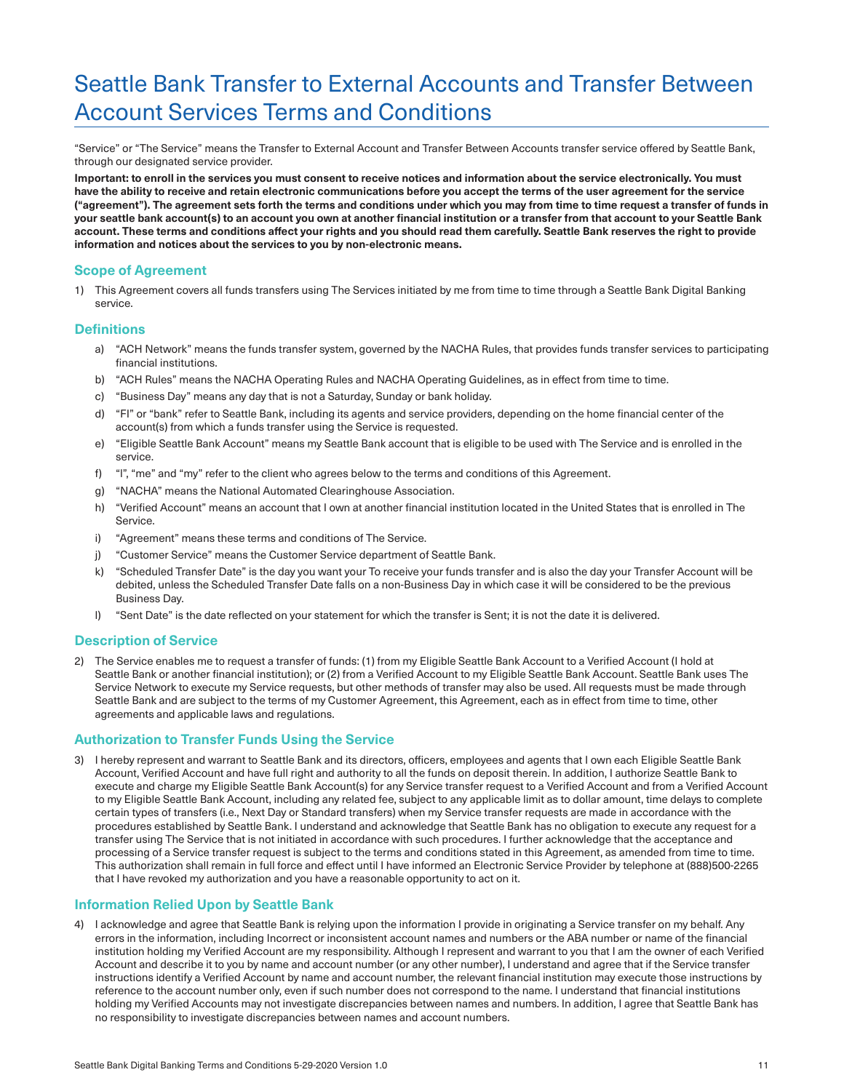# Seattle Bank Transfer to External Accounts and Transfer Between Account Services Terms and Conditions

"Service" or "The Service" means the Transfer to External Account and Transfer Between Accounts transfer service offered by Seattle Bank, through our designated service provider.

**Important: to enroll in the services you must consent to receive notices and information about the service electronically. You must have the ability to receive and retain electronic communications before you accept the terms of the user agreement for the service ("agreement"). The agreement sets forth the terms and conditions under which you may from time to time request a transfer of funds in your seattle bank account(s) to an account you own at another financial institution or a transfer from that account to your Seattle Bank account. These terms and conditions affect your rights and you should read them carefully. Seattle Bank reserves the right to provide information and notices about the services to you by non-electronic means.** 

# **Scope of Agreement**

1) This Agreement covers all funds transfers using The Services initiated by me from time to time through a Seattle Bank Digital Banking service.

#### **Definitions**

- a) "ACH Network" means the funds transfer system, governed by the NACHA Rules, that provides funds transfer services to participating financial institutions.
- b) "ACH Rules" means the NACHA Operating Rules and NACHA Operating Guidelines, as in effect from time to time.
- c) "Business Day" means any day that is not a Saturday, Sunday or bank holiday.
- d) "FI" or "bank" refer to Seattle Bank, including its agents and service providers, depending on the home financial center of the account(s) from which a funds transfer using the Service is requested.
- e) "Eligible Seattle Bank Account" means my Seattle Bank account that is eligible to be used with The Service and is enrolled in the service.
- f) "I", "me" and "my" refer to the client who agrees below to the terms and conditions of this Agreement.
- g) "NACHA" means the National Automated Clearinghouse Association.
- h) "Verified Account" means an account that I own at another financial institution located in the United States that is enrolled in The Service.
- i) "Agreement" means these terms and conditions of The Service.
- j) "Customer Service" means the Customer Service department of Seattle Bank.
- k) "Scheduled Transfer Date" is the day you want your To receive your funds transfer and is also the day your Transfer Account will be debited, unless the Scheduled Transfer Date falls on a non-Business Day in which case it will be considered to be the previous Business Day.
- I) "Sent Date" is the date reflected on your statement for which the transfer is Sent; it is not the date it is delivered.

#### **Description of Service**

The Service enables me to request a transfer of funds: (1) from my Eligible Seattle Bank Account to a Verified Account (I hold at Seattle Bank or another financial institution); or (2) from a Verified Account to my Eligible Seattle Bank Account. Seattle Bank uses The Service Network to execute my Service requests, but other methods of transfer may also be used. All requests must be made through Seattle Bank and are subject to the terms of my Customer Agreement, this Agreement, each as in effect from time to time, other agreements and applicable laws and regulations.

#### **Authorization to Transfer Funds Using the Service**

I hereby represent and warrant to Seattle Bank and its directors, officers, employees and agents that I own each Eligible Seattle Bank Account, Verified Account and have full right and authority to all the funds on deposit therein. In addition, I authorize Seattle Bank to execute and charge my Eligible Seattle Bank Account(s) for any Service transfer request to a Verified Account and from a Verified Account to my Eligible Seattle Bank Account, including any related fee, subject to any applicable limit as to dollar amount, time delays to complete certain types of transfers (i.e., Next Day or Standard transfers) when my Service transfer requests are made in accordance with the procedures established by Seattle Bank. I understand and acknowledge that Seattle Bank has no obligation to execute any request for a transfer using The Service that is not initiated in accordance with such procedures. I further acknowledge that the acceptance and processing of a Service transfer request is subject to the terms and conditions stated in this Agreement, as amended from time to time. This authorization shall remain in full force and effect until I have informed an Electronic Service Provider by telephone at (888)500-2265 that I have revoked my authorization and you have a reasonable opportunity to act on it.

#### **Information Relied Upon by Seattle Bank**

4) I acknowledge and agree that Seattle Bank is relying upon the information I provide in originating a Service transfer on my behalf. Any errors in the information, including Incorrect or inconsistent account names and numbers or the ABA number or name of the financial institution holding my Verified Account are my responsibility. Although I represent and warrant to you that I am the owner of each Verified Account and describe it to you by name and account number (or any other number), I understand and agree that if the Service transfer instructions identify a Verified Account by name and account number, the relevant financial institution may execute those instructions by reference to the account number only, even if such number does not correspond to the name. I understand that financial institutions holding my Verified Accounts may not investigate discrepancies between names and numbers. In addition, I agree that Seattle Bank has no responsibility to investigate discrepancies between names and account numbers.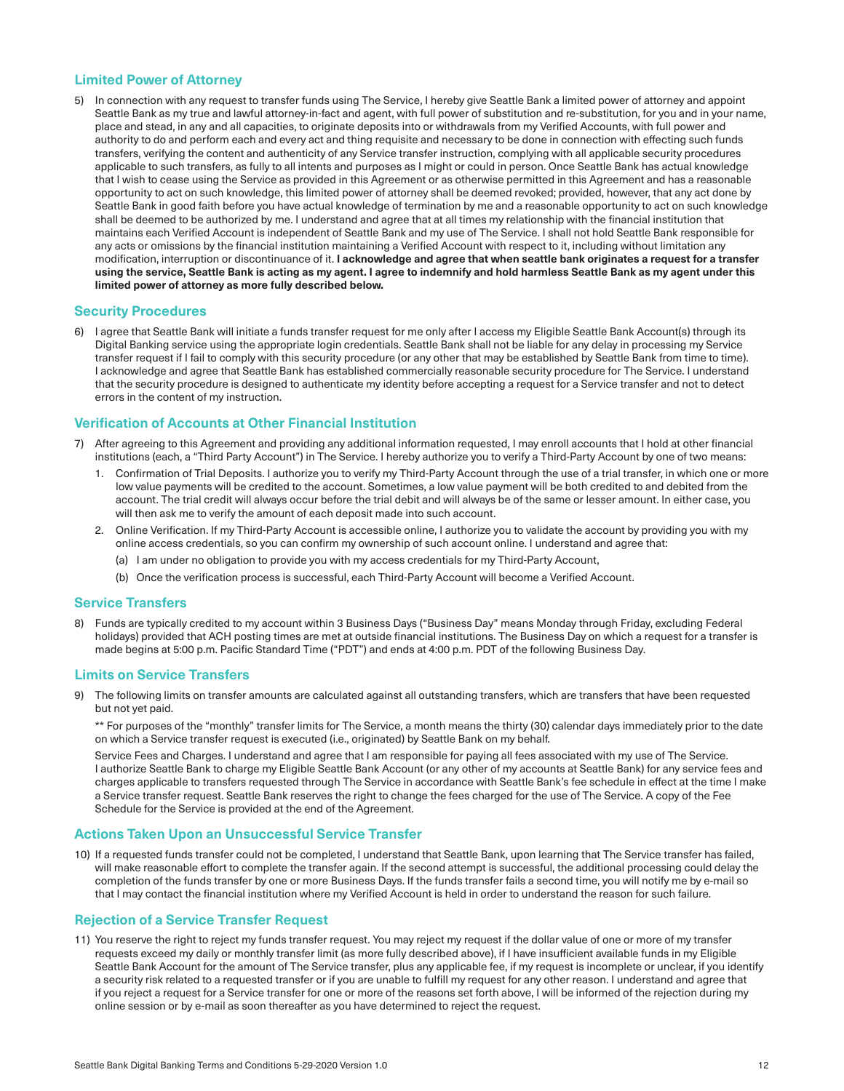### **Limited Power of Attorney**

5) In connection with any request to transfer funds using The Service, I hereby give Seattle Bank a limited power of attorney and appoint Seattle Bank as my true and lawful attorney-in-fact and agent, with full power of substitution and re-substitution, for you and in your name, place and stead, in any and all capacities, to originate deposits into or withdrawals from my Verified Accounts, with full power and authority to do and perform each and every act and thing requisite and necessary to be done in connection with effecting such funds transfers, verifying the content and authenticity of any Service transfer instruction, complying with all applicable security procedures applicable to such transfers, as fully to all intents and purposes as I might or could in person. Once Seattle Bank has actual knowledge that I wish to cease using the Service as provided in this Agreement or as otherwise permitted in this Agreement and has a reasonable opportunity to act on such knowledge, this limited power of attorney shall be deemed revoked; provided, however, that any act done by Seattle Bank in good faith before you have actual knowledge of termination by me and a reasonable opportunity to act on such knowledge shall be deemed to be authorized by me. I understand and agree that at all times my relationship with the financial institution that maintains each Verified Account is independent of Seattle Bank and my use of The Service. I shall not hold Seattle Bank responsible for any acts or omissions by the financial institution maintaining a Verified Account with respect to it, including without limitation any modification, interruption or discontinuance of it. **I acknowledge and agree that when seattle bank originates a request for a transfer using the service, Seattle Bank is acting as my agent. I agree to indemnify and hold harmless Seattle Bank as my agent under this limited power of attorney as more fully described below.** 

# **Security Procedures**

6) I agree that Seattle Bank will initiate a funds transfer request for me only after I access my Eligible Seattle Bank Account(s) through its Digital Banking service using the appropriate login credentials. Seattle Bank shall not be liable for any delay in processing my Service transfer request if I fail to comply with this security procedure (or any other that may be established by Seattle Bank from time to time). I acknowledge and agree that Seattle Bank has established commercially reasonable security procedure for The Service. I understand that the security procedure is designed to authenticate my identity before accepting a request for a Service transfer and not to detect errors in the content of my instruction.

#### **Verification of Accounts at Other Financial Institution**

- After agreeing to this Agreement and providing any additional information requested, I may enroll accounts that I hold at other financial institutions (each, a "Third Party Account") in The Service. I hereby authorize you to verify a Third-Party Account by one of two means:
	- 1. Confirmation of Trial Deposits. I authorize you to verify my Third-Party Account through the use of a trial transfer, in which one or more low value payments will be credited to the account. Sometimes, a low value payment will be both credited to and debited from the account. The trial credit will always occur before the trial debit and will always be of the same or lesser amount. In either case, you will then ask me to verify the amount of each deposit made into such account.
	- 2. Online Verification. If my Third-Party Account is accessible online, I authorize you to validate the account by providing you with my online access credentials, so you can confirm my ownership of such account online. I understand and agree that:
		- (a) I am under no obligation to provide you with my access credentials for my Third-Party Account,
		- (b) Once the verification process is successful, each Third-Party Account will become a Verified Account.

#### **Service Transfers**

8) Funds are typically credited to my account within 3 Business Days ("Business Day" means Monday through Friday, excluding Federal holidays) provided that ACH posting times are met at outside financial institutions. The Business Day on which a request for a transfer is made begins at 5:00 p.m. Pacific Standard Time ("PDT") and ends at 4:00 p.m. PDT of the following Business Day.

#### **Limits on Service Transfers**

9) The following limits on transfer amounts are calculated against all outstanding transfers, which are transfers that have been requested but not yet paid.

\*\* For purposes of the "monthly" transfer limits for The Service, a month means the thirty (30) calendar days immediately prior to the date on which a Service transfer request is executed (i.e., originated) by Seattle Bank on my behalf.

 Service Fees and Charges. I understand and agree that I am responsible for paying all fees associated with my use of The Service. I authorize Seattle Bank to charge my Eligible Seattle Bank Account (or any other of my accounts at Seattle Bank) for any service fees and charges applicable to transfers requested through The Service in accordance with Seattle Bank's fee schedule in effect at the time I make a Service transfer request. Seattle Bank reserves the right to change the fees charged for the use of The Service. A copy of the Fee Schedule for the Service is provided at the end of the Agreement.

#### **Actions Taken Upon an Unsuccessful Service Transfer**

10) If a requested funds transfer could not be completed, I understand that Seattle Bank, upon learning that The Service transfer has failed, will make reasonable effort to complete the transfer again. If the second attempt is successful, the additional processing could delay the completion of the funds transfer by one or more Business Days. If the funds transfer fails a second time, you will notify me by e-mail so that I may contact the financial institution where my Verified Account is held in order to understand the reason for such failure.

#### **Rejection of a Service Transfer Request**

11) You reserve the right to reject my funds transfer request. You may reject my request if the dollar value of one or more of my transfer requests exceed my daily or monthly transfer limit (as more fully described above), if I have insufficient available funds in my Eligible Seattle Bank Account for the amount of The Service transfer, plus any applicable fee, if my request is incomplete or unclear, if you identify a security risk related to a requested transfer or if you are unable to fulfill my request for any other reason. I understand and agree that if you reject a request for a Service transfer for one or more of the reasons set forth above, I will be informed of the rejection during my online session or by e-mail as soon thereafter as you have determined to reject the request.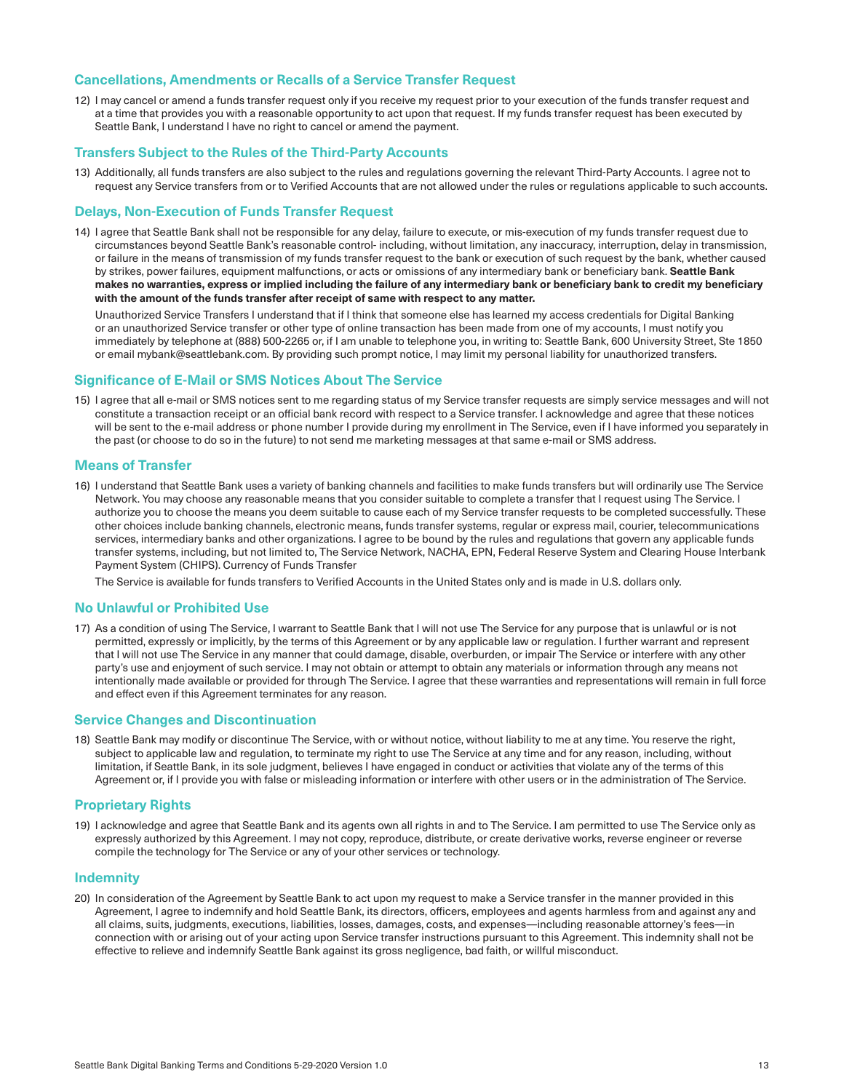#### **Cancellations, Amendments or Recalls of a Service Transfer Request**

12) I may cancel or amend a funds transfer request only if you receive my request prior to your execution of the funds transfer request and at a time that provides you with a reasonable opportunity to act upon that request. If my funds transfer request has been executed by Seattle Bank, I understand I have no right to cancel or amend the payment.

# **Transfers Subject to the Rules of the Third-Party Accounts**

13) Additionally, all funds transfers are also subject to the rules and regulations governing the relevant Third-Party Accounts. I agree not to request any Service transfers from or to Verified Accounts that are not allowed under the rules or requiations applicable to such accounts.

#### **Delays, Non-Execution of Funds Transfer Request**

14) I agree that Seattle Bank shall not be responsible for any delay, failure to execute, or mis-execution of my funds transfer request due to circumstances beyond Seattle Bank's reasonable control- including, without limitation, any inaccuracy, interruption, delay in transmission, or failure in the means of transmission of my funds transfer request to the bank or execution of such request by the bank, whether caused by strikes, power failures, equipment malfunctions, or acts or omissions of any intermediary bank or beneficiary bank. **Seattle Bank makes no warranties, express or implied including the failure of any intermediary bank or beneficiary bank to credit my beneficiary with the amount of the funds transfer after receipt of same with respect to any matter.** 

 Unauthorized Service Transfers I understand that if I think that someone else has learned my access credentials for Digital Banking or an unauthorized Service transfer or other type of online transaction has been made from one of my accounts, I must notify you immediately by telephone at (888) 500-2265 or, if I am unable to telephone you, in writing to: Seattle Bank, 600 University Street, Ste 1850 or email mybank@seattlebank.com. By providing such prompt notice, I may limit my personal liability for unauthorized transfers.

#### **Significance of E-Mail or SMS Notices About The Service**

15) I agree that all e-mail or SMS notices sent to me regarding status of my Service transfer reguests are simply service messages and will not constitute a transaction receipt or an official bank record with respect to a Service transfer. I acknowledge and agree that these notices will be sent to the e-mail address or phone number I provide during my enrollment in The Service, even if I have informed you separately in the past (or choose to do so in the future) to not send me marketing messages at that same e-mail or SMS address.

#### **Means of Transfer**

16) I understand that Seattle Bank uses a variety of banking channels and facilities to make funds transfers but will ordinarily use The Service Network. You may choose any reasonable means that you consider suitable to complete a transfer that I request using The Service. I authorize you to choose the means you deem suitable to cause each of my Service transfer requests to be completed successfully. These other choices include banking channels, electronic means, funds transfer systems, regular or express mail, courier, telecommunications services, intermediary banks and other organizations. I agree to be bound by the rules and regulations that govern any applicable funds transfer systems, including, but not limited to, The Service Network, NACHA, EPN, Federal Reserve System and Clearing House Interbank Payment System (CHIPS). Currency of Funds Transfer

 The Service is available for funds transfers to Verified Accounts in the United States only and is made in U.S. dollars only.

#### **No Unlawful or Prohibited Use**

17) As a condition of using The Service, I warrant to Seattle Bank that I will not use The Service for any purpose that is unlawful or is not permitted, expressly or implicitly, by the terms of this Agreement or by any applicable law or regulation. I further warrant and represent that I will not use The Service in any manner that could damage, disable, overburden, or impair The Service or interfere with any other party's use and enjoyment of such service. I may not obtain or attempt to obtain any materials or information through any means not intentionally made available or provided for through The Service. I agree that these warranties and representations will remain in full force and effect even if this Agreement terminates for any reason.

#### **Service Changes and Discontinuation**

18) Seattle Bank may modify or discontinue The Service, with or without notice, without liability to me at any time. You reserve the right, subject to applicable law and regulation, to terminate my right to use The Service at any time and for any reason, including, without limitation, if Seattle Bank, in its sole judgment, believes I have engaged in conduct or activities that violate any of the terms of this Agreement or, if I provide you with false or misleading information or interfere with other users or in the administration of The Service.

#### **Proprietary Rights**

19) I acknowledge and agree that Seattle Bank and its agents own all rights in and to The Service. I am permitted to use The Service only as expressly authorized by this Agreement. I may not copy, reproduce, distribute, or create derivative works, reverse engineer or reverse compile the technology for The Service or any of your other services or technology.

# **Indemnity**

20) In consideration of the Agreement by Seattle Bank to act upon my request to make a Service transfer in the manner provided in this Agreement, I agree to indemnify and hold Seattle Bank, its directors, officers, employees and agents harmless from and against any and all claims, suits, judgments, executions, liabilities, losses, damages, costs, and expenses—including reasonable attorney's fees—in connection with or arising out of your acting upon Service transfer instructions pursuant to this Agreement. This indemnity shall not be effective to relieve and indemnify Seattle Bank against its gross negligence, bad faith, or willful misconduct.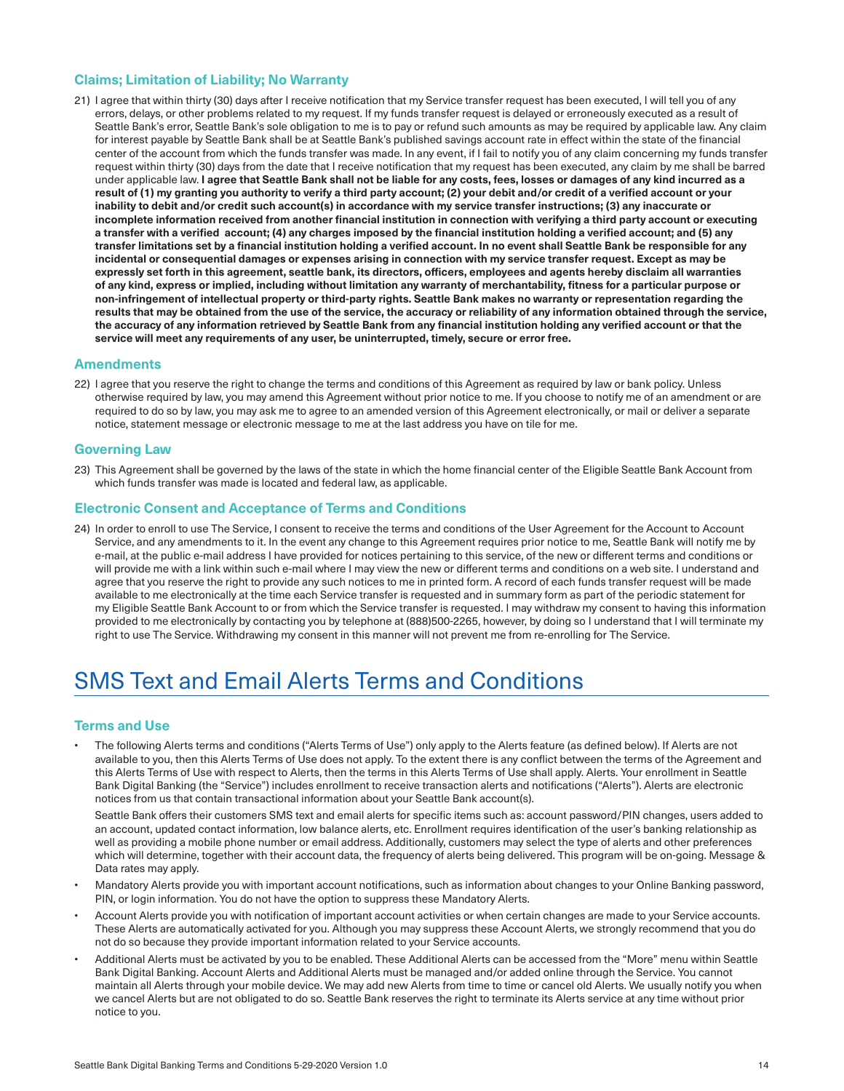# **Claims; Limitation of Liability; No Warranty**

21) I agree that within thirty (30) days after I receive notification that my Service transfer request has been executed, I will tell you of any errors, delays, or other problems related to my request. If my funds transfer request is delayed or erroneously executed as a result of Seattle Bank's error, Seattle Bank's sole obligation to me is to pay or refund such amounts as may be required by applicable law. Any claim for interest payable by Seattle Bank shall be at Seattle Bank's published savings account rate in effect within the state of the financial center of the account from which the funds transfer was made. In any event, if I fail to notify you of any claim concerning my funds transfer request within thirty (30) days from the date that I receive notification that my request has been executed, any claim by me shall be barred under applicable law. **I agree that Seattle Bank shall not be liable for any costs, fees, losses or damages of any kind incurred as a result of (1) my granting you authority to verify a third party account; (2) your debit and/or credit of a verified account or your inability to debit and/or credit such account(s) in accordance with my service transfer instructions; (3) any inaccurate or incomplete information received from another financial institution in connection with verifying a third party account or executing a transfer with a verified account; (4) any charges imposed by the financial institution holding a verified account; and (5) any transfer limitations set by a financial institution holding a verified account. In no event shall Seattle Bank be responsible for any incidental or consequential damages or expenses arising in connection with my service transfer request. Except as may be expressly set forth in this agreement, seattle bank, its directors, officers, employees and agents hereby disclaim all warranties of any kind, express or implied, including without limitation any warranty of merchantability, fitness for a particular purpose or non-infringement of intellectual property or third-party rights. Seattle Bank makes no warranty or representation regarding the results that may be obtained from the use of the service, the accuracy or reliability of any information obtained through the service, the accuracy of any information retrieved by Seattle Bank from any financial institution holding any verified account or that the service will meet any requirements of any user, be uninterrupted, timely, secure or error free.** 

#### **Amendments**

22) I agree that you reserve the right to change the terms and conditions of this Agreement as required by law or bank policy. Unless otherwise required by law, you may amend this Agreement without prior notice to me. If you choose to notify me of an amendment or are required to do so by law, you may ask me to agree to an amended version of this Agreement electronically, or mail or deliver a separate notice, statement message or electronic message to me at the last address you have on tile for me.

#### **Governing Law**

23) This Agreement shall be governed by the laws of the state in which the home financial center of the Eligible Seattle Bank Account from which funds transfer was made is located and federal law, as applicable.

#### **Electronic Consent and Acceptance of Terms and Conditions**

24) In order to enroll to use The Service, I consent to receive the terms and conditions of the User Agreement for the Account to Account Service, and any amendments to it. In the event any change to this Agreement requires prior notice to me, Seattle Bank will notify me by e-mail, at the public e-mail address I have provided for notices pertaining to this service, of the new or different terms and conditions or will provide me with a link within such e-mail where I may view the new or different terms and conditions on a web site. I understand and agree that you reserve the right to provide any such notices to me in printed form. A record of each funds transfer request will be made available to me electronically at the time each Service transfer is requested and in summary form as part of the periodic statement for my Eligible Seattle Bank Account to or from which the Service transfer is requested. I may withdraw my consent to having this information provided to me electronically by contacting you by telephone at (888)500-2265, however, by doing so I understand that I will terminate my right to use The Service. Withdrawing my consent in this manner will not prevent me from re-enrolling for The Service.

# SMS Text and Email Alerts Terms and Conditions

#### **Terms and Use**

The following Alerts terms and conditions ("Alerts Terms of Use") only apply to the Alerts feature (as defined below). If Alerts are not available to you, then this Alerts Terms of Use does not apply. To the extent there is any conflict between the terms of the Agreement and this Alerts Terms of Use with respect to Alerts, then the terms in this Alerts Terms of Use shall apply. Alerts. Your enrollment in Seattle Bank Digital Banking (the "Service") includes enrollment to receive transaction alerts and notifications ("Alerts"). Alerts are electronic notices from us that contain transactional information about your Seattle Bank account(s).

 Seattle Bank offers their customers SMS text and email alerts for specific items such as: account password/PIN changes, users added to an account, updated contact information, low balance alerts, etc. Enrollment requires identification of the user's banking relationship as well as providing a mobile phone number or email address. Additionally, customers may select the type of alerts and other preferences which will determine, together with their account data, the frequency of alerts being delivered. This program will be on-going. Message & Data rates may apply.

- Mandatory Alerts provide you with important account notifications, such as information about changes to your Online Banking password, PIN, or login information. You do not have the option to suppress these Mandatory Alerts.
- Account Alerts provide you with notification of important account activities or when certain changes are made to your Service accounts. These Alerts are automatically activated for you. Although you may suppress these Account Alerts, we strongly recommend that you do not do so because they provide important information related to your Service accounts.
- Additional Alerts must be activated by you to be enabled. These Additional Alerts can be accessed from the "More" menu within Seattle Bank Digital Banking. Account Alerts and Additional Alerts must be managed and/or added online through the Service. You cannot maintain all Alerts through your mobile device. We may add new Alerts from time to time or cancel old Alerts. We usually notify you when we cancel Alerts but are not obligated to do so. Seattle Bank reserves the right to terminate its Alerts service at any time without prior notice to you.